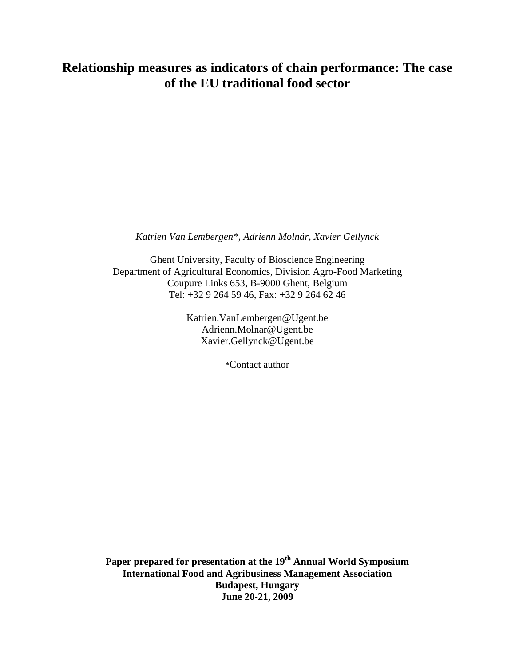*Katrien Van Lembergen\*, Adrienn Molnár, Xavier Gellynck*

Ghent University, Faculty of Bioscience Engineering Department of Agricultural Economics, Division Agro-Food Marketing Coupure Links 653, B-9000 Ghent, Belgium Tel: +32 9 264 59 46, Fax: +32 9 264 62 46

> Katrien.VanLembergen@Ugent.be Adrienn.Molnar@Ugent.be Xavier.Gellynck@Ugent.be

> > \*Contact author

**Paper prepared for presentation at the 19th Annual World Symposium International Food and Agribusiness Management Association Budapest, Hungary June 20-21, 2009**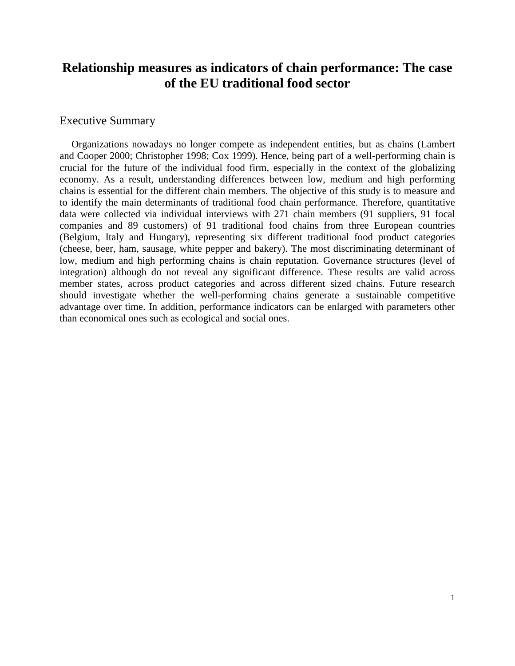#### Executive Summary

Organizations nowadays no longer compete as independent entities, but as chains (Lambert and Cooper 2000; Christopher 1998; Cox 1999). Hence, being part of a well-performing chain is crucial for the future of the individual food firm, especially in the context of the globalizing economy. As a result, understanding differences between low, medium and high performing chains is essential for the different chain members. The objective of this study is to measure and to identify the main determinants of traditional food chain performance. Therefore, quantitative data were collected via individual interviews with 271 chain members (91 suppliers, 91 focal companies and 89 customers) of 91 traditional food chains from three European countries (Belgium, Italy and Hungary), representing six different traditional food product categories (cheese, beer, ham, sausage, white pepper and bakery). The most discriminating determinant of low, medium and high performing chains is chain reputation. Governance structures (level of integration) although do not reveal any significant difference. These results are valid across member states, across product categories and across different sized chains. Future research should investigate whether the well-performing chains generate a sustainable competitive advantage over time. In addition, performance indicators can be enlarged with parameters other than economical ones such as ecological and social ones.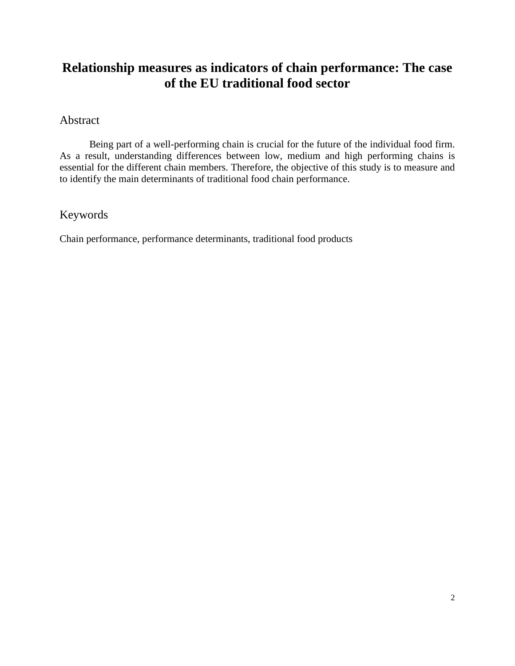# Abstract

Being part of a well-performing chain is crucial for the future of the individual food firm. As a result, understanding differences between low, medium and high performing chains is essential for the different chain members. Therefore, the objective of this study is to measure and to identify the main determinants of traditional food chain performance.

# Keywords

Chain performance, performance determinants, traditional food products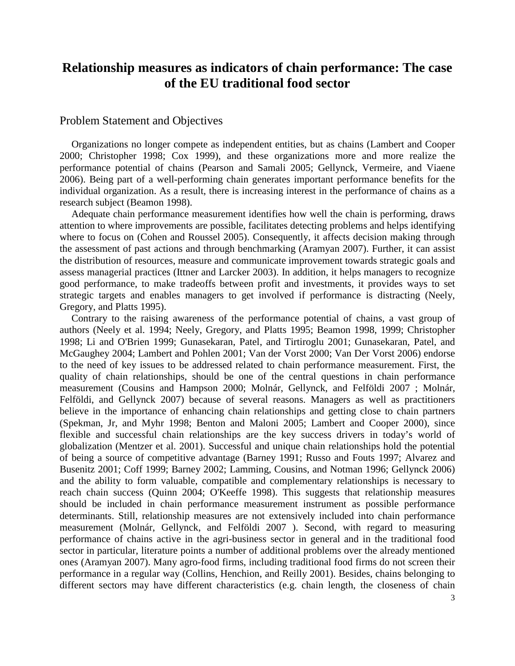# Problem Statement and Objectives

Organizations no longer compete as independent entities, but as chains (Lambert and Cooper 2000; Christopher 1998; Cox 1999), and these organizations more and more realize the performance potential of chains (Pearson and Samali 2005; Gellynck, Vermeire, and Viaene 2006). Being part of a well-performing chain generates important performance benefits for the individual organization. As a result, there is increasing interest in the performance of chains as a research subject (Beamon 1998).

Adequate chain performance measurement identifies how well the chain is performing, draws attention to where improvements are possible, facilitates detecting problems and helps identifying where to focus on (Cohen and Roussel 2005). Consequently, it affects decision making through the assessment of past actions and through benchmarking (Aramyan 2007). Further, it can assist the distribution of resources, measure and communicate improvement towards strategic goals and assess managerial practices (Ittner and Larcker 2003). In addition, it helps managers to recognize good performance, to make tradeoffs between profit and investments, it provides ways to set strategic targets and enables managers to get involved if performance is distracting (Neely, Gregory, and Platts 1995).

Contrary to the raising awareness of the performance potential of chains, a vast group of authors (Neely et al. 1994; Neely, Gregory, and Platts 1995; Beamon 1998, 1999; Christopher 1998; Li and O'Brien 1999; Gunasekaran, Patel, and Tirtiroglu 2001; Gunasekaran, Patel, and McGaughey 2004; Lambert and Pohlen 2001; Van der Vorst 2000; Van Der Vorst 2006) endorse to the need of key issues to be addressed related to chain performance measurement. First, the quality of chain relationships, should be one of the central questions in chain performance measurement (Cousins and Hampson 2000; Molnár, Gellynck, and Felföldi 2007 ; Molnár, Felföldi, and Gellynck 2007) because of several reasons. Managers as well as practitioners believe in the importance of enhancing chain relationships and getting close to chain partners (Spekman, Jr, and Myhr 1998; Benton and Maloni 2005; Lambert and Cooper 2000), since flexible and successful chain relationships are the key success drivers in today's world of globalization (Mentzer et al. 2001). Successful and unique chain relationships hold the potential of being a source of competitive advantage (Barney 1991; Russo and Fouts 1997; Alvarez and Busenitz 2001; Coff 1999; Barney 2002; Lamming, Cousins, and Notman 1996; Gellynck 2006) and the ability to form valuable, compatible and complementary relationships is necessary to reach chain success (Quinn 2004; O'Keeffe 1998). This suggests that relationship measures should be included in chain performance measurement instrument as possible performance determinants. Still, relationship measures are not extensively included into chain performance measurement (Molnár, Gellynck, and Felföldi 2007 ). Second, with regard to measuring performance of chains active in the agri-business sector in general and in the traditional food sector in particular, literature points a number of additional problems over the already mentioned ones (Aramyan 2007). Many agro-food firms, including traditional food firms do not screen their performance in a regular way (Collins, Henchion, and Reilly 2001). Besides, chains belonging to different sectors may have different characteristics (e.g. chain length, the closeness of chain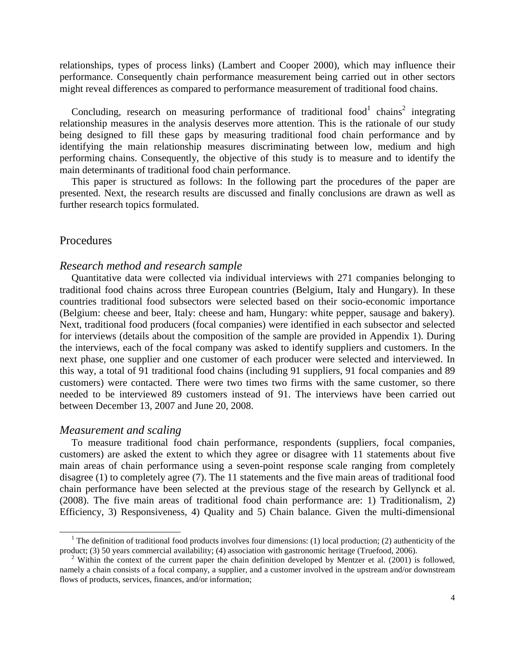relationships, types of process links) (Lambert and Cooper 2000), which may influence their performance. Consequently chain performance measurement being carried out in other sectors might reveal differences as compared to performance measurement of traditional food chains.

Concluding, research on measuring performance of traditional food<sup>1</sup> chains<sup>2</sup> integrating relationship measures in the analysis deserves more attention. This is the rationale of our study being designed to fill these gaps by measuring traditional food chain performance and by identifying the main relationship measures discriminating between low, medium and high performing chains. Consequently, the objective of this study is to measure and to identify the main determinants of traditional food chain performance.

This paper is structured as follows: In the following part the procedures of the paper are presented. Next, the research results are discussed and finally conclusions are drawn as well as further research topics formulated.

#### Procedures

#### *Research method and research sample*

Quantitative data were collected via individual interviews with 271 companies belonging to traditional food chains across three European countries (Belgium, Italy and Hungary). In these countries traditional food subsectors were selected based on their socio-economic importance (Belgium: cheese and beer, Italy: cheese and ham, Hungary: white pepper, sausage and bakery). Next, traditional food producers (focal companies) were identified in each subsector and selected for interviews (details about the composition of the sample are provided in Appendix 1). During the interviews, each of the focal company was asked to identify suppliers and customers. In the next phase, one supplier and one customer of each producer were selected and interviewed. In this way, a total of 91 traditional food chains (including 91 suppliers, 91 focal companies and 89 customers) were contacted. There were two times two firms with the same customer, so there needed to be interviewed 89 customers instead of 91. The interviews have been carried out between December 13, 2007 and June 20, 2008.

#### *Measurement and scaling*

 $\overline{a}$ 

To measure traditional food chain performance, respondents (suppliers, focal companies, customers) are asked the extent to which they agree or disagree with 11 statements about five main areas of chain performance using a seven-point response scale ranging from completely disagree (1) to completely agree (7). The 11 statements and the five main areas of traditional food chain performance have been selected at the previous stage of the research by Gellynck et al. (2008). The five main areas of traditional food chain performance are: 1) Traditionalism, 2) Efficiency, 3) Responsiveness, 4) Quality and 5) Chain balance. Given the multi-dimensional

<sup>&</sup>lt;sup>1</sup> The definition of traditional food products involves four dimensions: (1) local production; (2) authenticity of the product; (3) 50 years commercial availability; (4) association with gastronomic heritage (Truefood, 2006).

<sup>&</sup>lt;sup>2</sup> Within the context of the current paper the chain definition developed by Mentzer et al. (2001) is followed, namely a chain consists of a focal company, a supplier, and a customer involved in the upstream and/or downstream flows of products, services, finances, and/or information;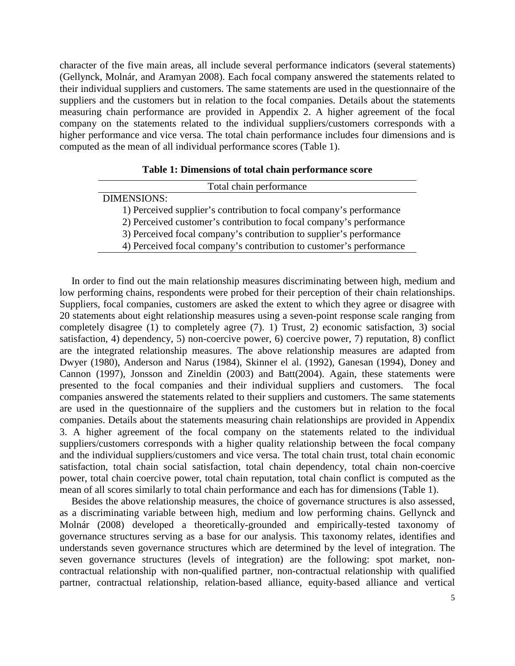character of the five main areas, all include several performance indicators (several statements) (Gellynck, Molnár, and Aramyan 2008). Each focal company answered the statements related to their individual suppliers and customers. The same statements are used in the questionnaire of the suppliers and the customers but in relation to the focal companies. Details about the statements measuring chain performance are provided in Appendix 2. A higher agreement of the focal company on the statements related to the individual suppliers/customers corresponds with a higher performance and vice versa. The total chain performance includes four dimensions and is computed as the mean of all individual performance scores (Table 1).

#### **Table 1: Dimensions of total chain performance score**

| Total chain performance                                             |  |  |  |
|---------------------------------------------------------------------|--|--|--|
| <b>DIMENSIONS:</b>                                                  |  |  |  |
| 1) Perceived supplier's contribution to focal company's performance |  |  |  |
| 2) Perceived customer's contribution to focal company's performance |  |  |  |
| 3) Perceived focal company's contribution to supplier's performance |  |  |  |
| 4) Perceived focal company's contribution to customer's performance |  |  |  |

In order to find out the main relationship measures discriminating between high, medium and low performing chains, respondents were probed for their perception of their chain relationships. Suppliers, focal companies, customers are asked the extent to which they agree or disagree with 20 statements about eight relationship measures using a seven-point response scale ranging from completely disagree (1) to completely agree (7). 1) Trust, 2) economic satisfaction, 3) social satisfaction, 4) dependency, 5) non-coercive power, 6) coercive power, 7) reputation, 8) conflict are the integrated relationship measures. The above relationship measures are adapted from Dwyer (1980), Anderson and Narus (1984), Skinner el al. (1992), Ganesan (1994), Doney and Cannon (1997), Jonsson and Zineldin (2003) and Batt(2004). Again, these statements were presented to the focal companies and their individual suppliers and customers. The focal companies answered the statements related to their suppliers and customers. The same statements are used in the questionnaire of the suppliers and the customers but in relation to the focal companies. Details about the statements measuring chain relationships are provided in Appendix 3. A higher agreement of the focal company on the statements related to the individual suppliers/customers corresponds with a higher quality relationship between the focal company and the individual suppliers/customers and vice versa. The total chain trust, total chain economic satisfaction, total chain social satisfaction, total chain dependency, total chain non-coercive power, total chain coercive power, total chain reputation, total chain conflict is computed as the mean of all scores similarly to total chain performance and each has for dimensions (Table 1).

Besides the above relationship measures, the choice of governance structures is also assessed, as a discriminating variable between high, medium and low performing chains. Gellynck and Molnár (2008) developed a theoretically-grounded and empirically-tested taxonomy of governance structures serving as a base for our analysis. This taxonomy relates, identifies and understands seven governance structures which are determined by the level of integration. The seven governance structures (levels of integration) are the following: spot market, noncontractual relationship with non-qualified partner, non-contractual relationship with qualified partner, contractual relationship, relation-based alliance, equity-based alliance and vertical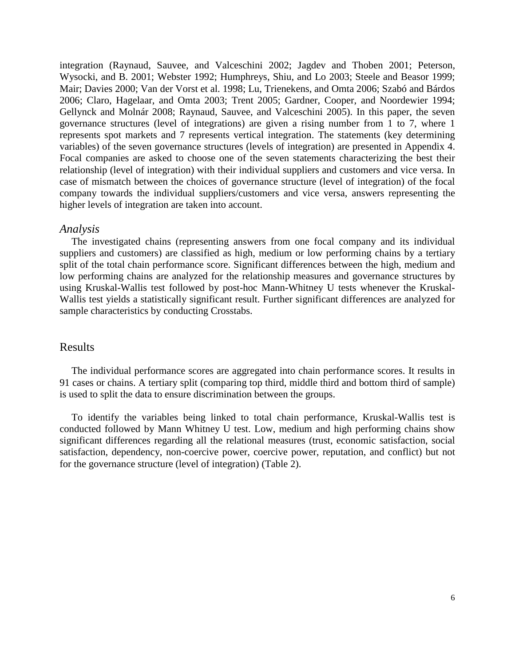integration (Raynaud, Sauvee, and Valceschini 2002; Jagdev and Thoben 2001; Peterson, Wysocki, and B. 2001; Webster 1992; Humphreys, Shiu, and Lo 2003; Steele and Beasor 1999; Mair; Davies 2000; Van der Vorst et al. 1998; Lu, Trienekens, and Omta 2006; Szabó and Bárdos 2006; Claro, Hagelaar, and Omta 2003; Trent 2005; Gardner, Cooper, and Noordewier 1994; Gellynck and Molnár 2008; Raynaud, Sauvee, and Valceschini 2005). In this paper, the seven governance structures (level of integrations) are given a rising number from 1 to 7, where 1 represents spot markets and 7 represents vertical integration. The statements (key determining variables) of the seven governance structures (levels of integration) are presented in Appendix 4. Focal companies are asked to choose one of the seven statements characterizing the best their relationship (level of integration) with their individual suppliers and customers and vice versa. In case of mismatch between the choices of governance structure (level of integration) of the focal company towards the individual suppliers/customers and vice versa, answers representing the higher levels of integration are taken into account.

#### *Analysis*

The investigated chains (representing answers from one focal company and its individual suppliers and customers) are classified as high, medium or low performing chains by a tertiary split of the total chain performance score. Significant differences between the high, medium and low performing chains are analyzed for the relationship measures and governance structures by using Kruskal-Wallis test followed by post-hoc Mann-Whitney U tests whenever the Kruskal-Wallis test yields a statistically significant result. Further significant differences are analyzed for sample characteristics by conducting Crosstabs.

#### Results

The individual performance scores are aggregated into chain performance scores. It results in 91 cases or chains. A tertiary split (comparing top third, middle third and bottom third of sample) is used to split the data to ensure discrimination between the groups.

To identify the variables being linked to total chain performance, Kruskal-Wallis test is conducted followed by Mann Whitney U test. Low, medium and high performing chains show significant differences regarding all the relational measures (trust, economic satisfaction, social satisfaction, dependency, non-coercive power, coercive power, reputation, and conflict) but not for the governance structure (level of integration) (Table 2).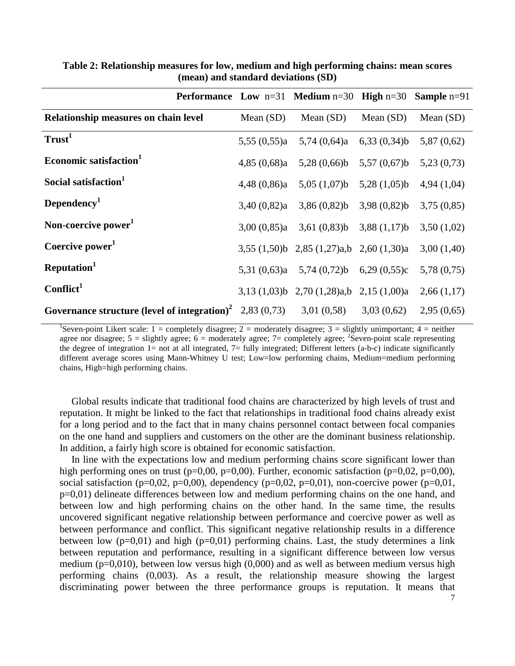|                                                                                  |                | Performance Low $n=31$ Medium $n=30$ High $n=30$ Sample $n=91$ |                |             |
|----------------------------------------------------------------------------------|----------------|----------------------------------------------------------------|----------------|-------------|
| Relationship measures on chain level                                             | Mean $(SD)$    | Mean $(SD)$                                                    | Mean $(SD)$    | Mean $(SD)$ |
| Trust <sup>1</sup>                                                               | 5,55(0,55)a    | 5,74(0,64)a                                                    | 6,33(0,34)b    | 5,87(0,62)  |
| Economic satisfaction <sup>1</sup>                                               | 4,85(0,68)a    | 5,28(0,66)b                                                    | $5,57(0,67)$ b | 5,23(0,73)  |
| Social satisfaction <sup>1</sup>                                                 | $4,48$ (0,86)a | 5,05(1,07)b                                                    | 5,28(1,05)b    | 4,94(1,04)  |
| Dependency <sup>1</sup>                                                          | 3,40(0,82)a    | $3,86(0,82)$ b $3,98(0,82)$ b                                  |                | 3,75(0,85)  |
| Non-coercive power <sup>1</sup>                                                  |                | 3,00 $(0,85)a$ 3,61 $(0,83)b$ 3,88 $(1,17)b$                   |                | 3,50(1,02)  |
| Coercive power <sup>1</sup>                                                      |                | $3,55$ (1,50)b 2,85 (1,27)a,b 2,60 (1,30)a                     |                | 3,00(1,40)  |
| Reputation <sup>1</sup>                                                          |                | 5,31 $(0,63)a$ 5,74 $(0,72)b$ 6,29 $(0,55)c$                   |                | 5,78(0,75)  |
| Conflict <sup>1</sup>                                                            |                | 3,13 $(1,03)$ b 2,70 $(1,28)$ a,b 2,15 $(1,00)$ a              |                | 2,66(1,17)  |
| Governance structure (level of integration) <sup>2</sup> 2,83 (0,73) 3,01 (0,58) |                |                                                                | 3,03(0,62)     | 2,95(0,65)  |

**Table 2: Relationship measures for low, medium and high performing chains: mean scores (mean) and standard deviations (SD)**

<sup>1</sup>Seven-point Likert scale: 1 = completely disagree; 2 = moderately disagree; 3 = slightly unimportant; 4 = neither agree nor disagree;  $5 =$  slightly agree;  $6 =$  moderately agree;  $7 =$  completely agree;  $2$  Seven-point scale representing the degree of integration  $1=$  not at all integrated,  $7=$  fully integrated; Different letters (a-b-c) indicate significantly different average scores using Mann-Whitney U test; Low=low performing chains, Medium=medium performing chains, High=high performing chains.

Global results indicate that traditional food chains are characterized by high levels of trust and reputation. It might be linked to the fact that relationships in traditional food chains already exist for a long period and to the fact that in many chains personnel contact between focal companies on the one hand and suppliers and customers on the other are the dominant business relationship. In addition, a fairly high score is obtained for economic satisfaction.

In line with the expectations low and medium performing chains score significant lower than high performing ones on trust ( $p=0,00$ ,  $p=0,00$ ). Further, economic satisfaction ( $p=0,02$ ,  $p=0,00$ ), social satisfaction (p=0,02, p=0,00), dependency (p=0,02, p=0,01), non-coercive power (p=0,01, p=0,01) delineate differences between low and medium performing chains on the one hand, and between low and high performing chains on the other hand. In the same time, the results uncovered significant negative relationship between performance and coercive power as well as between performance and conflict. This significant negative relationship results in a difference between low  $(p=0,01)$  and high  $(p=0,01)$  performing chains. Last, the study determines a link between reputation and performance, resulting in a significant difference between low versus medium ( $p=0,010$ ), between low versus high (0,000) and as well as between medium versus high performing chains (0,003). As a result, the relationship measure showing the largest discriminating power between the three performance groups is reputation. It means that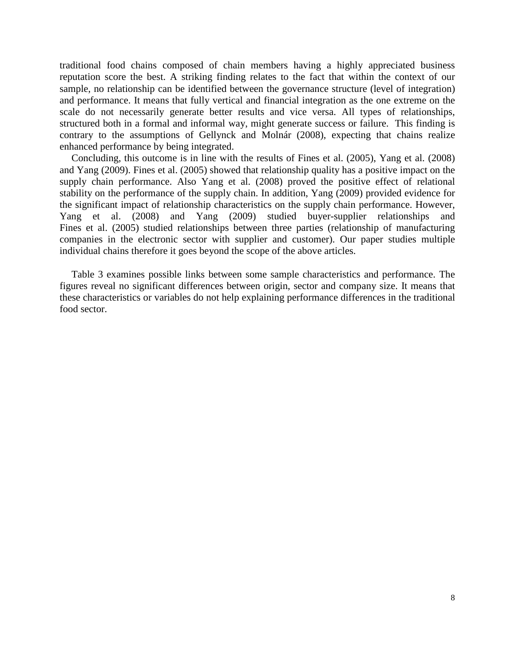traditional food chains composed of chain members having a highly appreciated business reputation score the best. A striking finding relates to the fact that within the context of our sample, no relationship can be identified between the governance structure (level of integration) and performance. It means that fully vertical and financial integration as the one extreme on the scale do not necessarily generate better results and vice versa. All types of relationships, structured both in a formal and informal way, might generate success or failure. This finding is contrary to the assumptions of Gellynck and Molnár (2008), expecting that chains realize enhanced performance by being integrated.

Concluding, this outcome is in line with the results of Fines et al. (2005), Yang et al. (2008) and Yang (2009). Fines et al. (2005) showed that relationship quality has a positive impact on the supply chain performance. Also Yang et al. (2008) proved the positive effect of relational stability on the performance of the supply chain. In addition, Yang (2009) provided evidence for the significant impact of relationship characteristics on the supply chain performance. However, Yang et al. (2008) and Yang (2009) studied buyer-supplier relationships and Fines et al. (2005) studied relationships between three parties (relationship of manufacturing companies in the electronic sector with supplier and customer). Our paper studies multiple individual chains therefore it goes beyond the scope of the above articles.

Table 3 examines possible links between some sample characteristics and performance. The figures reveal no significant differences between origin, sector and company size. It means that these characteristics or variables do not help explaining performance differences in the traditional food sector.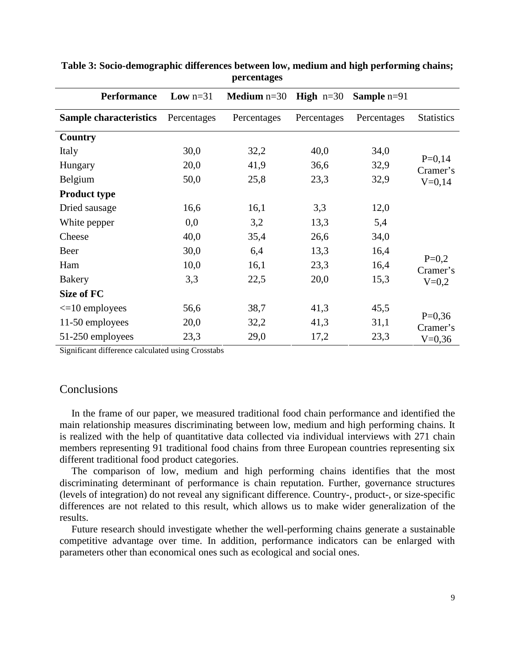| <b>Performance</b>            | <b>Low</b> $n=31$ | <b>Medium</b> $n=30$ | <b>High</b> $n=30$ | <b>Sample</b> $n=91$ |                      |
|-------------------------------|-------------------|----------------------|--------------------|----------------------|----------------------|
| <b>Sample characteristics</b> | Percentages       | Percentages          | Percentages        | Percentages          | <b>Statistics</b>    |
| Country                       |                   |                      |                    |                      |                      |
| Italy                         | 30,0              | 32,2                 | 40,0               | 34,0                 |                      |
| Hungary                       | 20,0              | 41,9                 | 36,6               | 32,9                 | $P=0,14$<br>Cramer's |
| Belgium                       | 50,0              | 25,8                 | 23,3               | 32,9                 | $V=0,14$             |
| <b>Product type</b>           |                   |                      |                    |                      |                      |
| Dried sausage                 | 16,6              | 16,1                 | 3,3                | 12,0                 |                      |
| White pepper                  | 0,0               | 3,2                  | 13,3               | 5,4                  |                      |
| Cheese                        | 40,0              | 35,4                 | 26,6               | 34,0                 |                      |
| Beer                          | 30,0              | 6,4                  | 13,3               | 16,4                 |                      |
| Ham                           | 10,0              | 16,1                 | 23,3               | 16,4                 | $P=0,2$<br>Cramer's  |
| <b>Bakery</b>                 | 3,3               | 22,5                 | 20,0               | 15,3                 | $V = 0,2$            |
| Size of FC                    |                   |                      |                    |                      |                      |
| $\leq 10$ employees           | 56,6              | 38,7                 | 41,3               | 45,5                 |                      |
| 11-50 employees               | 20,0              | 32,2                 | 41,3               | 31,1                 | $P=0,36$<br>Cramer's |
| 51-250 employees              | 23,3              | 29,0                 | 17,2               | 23,3                 | $V=0,36$             |

#### **Table 3: Socio-demographic differences between low, medium and high performing chains; percentages**

Significant difference calculated using Crosstabs

### **Conclusions**

In the frame of our paper, we measured traditional food chain performance and identified the main relationship measures discriminating between low, medium and high performing chains. It is realized with the help of quantitative data collected via individual interviews with 271 chain members representing 91 traditional food chains from three European countries representing six different traditional food product categories.

The comparison of low, medium and high performing chains identifies that the most discriminating determinant of performance is chain reputation. Further, governance structures (levels of integration) do not reveal any significant difference. Country-, product-, or size-specific differences are not related to this result, which allows us to make wider generalization of the results.

Future research should investigate whether the well-performing chains generate a sustainable competitive advantage over time. In addition, performance indicators can be enlarged with parameters other than economical ones such as ecological and social ones.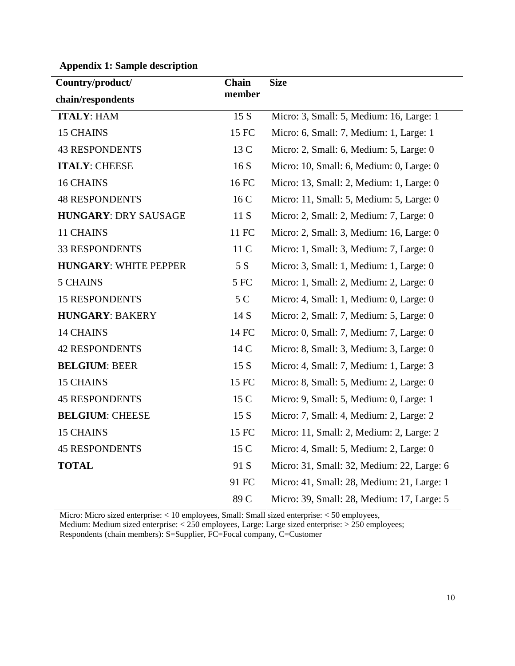| Country/product/             | Chain  | <b>Size</b>                                |  |  |
|------------------------------|--------|--------------------------------------------|--|--|
| chain/respondents            | member |                                            |  |  |
| <b>ITALY: HAM</b>            | 15 S   | Micro: 3, Small: 5, Medium: 16, Large: 1   |  |  |
| <b>15 CHAINS</b>             | 15 FC  | Micro: 6, Small: 7, Medium: 1, Large: 1    |  |  |
| <b>43 RESPONDENTS</b>        | 13 C   | Micro: 2, Small: 6, Medium: 5, Large: 0    |  |  |
| <b>ITALY: CHEESE</b>         | 16S    | Micro: 10, Small: 6, Medium: 0, Large: 0   |  |  |
| <b>16 CHAINS</b>             | 16 FC  | Micro: 13, Small: 2, Medium: 1, Large: 0   |  |  |
| <b>48 RESPONDENTS</b>        | 16 C   | Micro: 11, Small: 5, Medium: 5, Large: 0   |  |  |
| <b>HUNGARY: DRY SAUSAGE</b>  | 11 S   | Micro: 2, Small: 2, Medium: 7, Large: 0    |  |  |
| 11 CHAINS                    | 11 FC  | Micro: 2, Small: 3, Medium: 16, Large: 0   |  |  |
| <b>33 RESPONDENTS</b>        | 11 C   | Micro: 1, Small: 3, Medium: 7, Large: 0    |  |  |
| <b>HUNGARY: WHITE PEPPER</b> | 5 S    | Micro: 3, Small: 1, Medium: 1, Large: 0    |  |  |
| <b>5 CHAINS</b>              | 5 FC   | Micro: 1, Small: 2, Medium: 2, Large: 0    |  |  |
| <b>15 RESPONDENTS</b>        | 5 C    | Micro: 4, Small: 1, Medium: 0, Large: 0    |  |  |
| <b>HUNGARY: BAKERY</b>       | 14 S   | Micro: 2, Small: 7, Medium: 5, Large: 0    |  |  |
| <b>14 CHAINS</b>             | 14 FC  | Micro: 0, Small: 7, Medium: 7, Large: 0    |  |  |
| <b>42 RESPONDENTS</b>        | 14 C   | Micro: 8, Small: 3, Medium: 3, Large: 0    |  |  |
| <b>BELGIUM: BEER</b>         | 15S    | Micro: 4, Small: 7, Medium: 1, Large: 3    |  |  |
| <b>15 CHAINS</b>             | 15 FC  | Micro: 8, Small: 5, Medium: 2, Large: 0    |  |  |
| <b>45 RESPONDENTS</b>        | 15 C   | Micro: 9, Small: 5, Medium: 0, Large: 1    |  |  |
| <b>BELGIUM: CHEESE</b>       | 15 S   | Micro: 7, Small: 4, Medium: 2, Large: 2    |  |  |
| <b>15 CHAINS</b>             | 15 FC  | Micro: 11, Small: 2, Medium: 2, Large: 2   |  |  |
| <b>45 RESPONDENTS</b>        | 15 C   | Micro: 4, Small: 5, Medium: 2, Large: 0    |  |  |
| <b>TOTAL</b>                 | 91 S   | Micro: 31, Small: 32, Medium: 22, Large: 6 |  |  |
|                              | 91 FC  | Micro: 41, Small: 28, Medium: 21, Large: 1 |  |  |
|                              | 89 C   | Micro: 39, Small: 28, Medium: 17, Large: 5 |  |  |

**Appendix 1: Sample description** 

Micro: Micro sized enterprise: < 10 employees, Small: Small sized enterprise: < 50 employees, Medium: Medium sized enterprise: < 250 employees, Large: Large sized enterprise: > 250 employees; Respondents (chain members): S=Supplier, FC=Focal company, C=Customer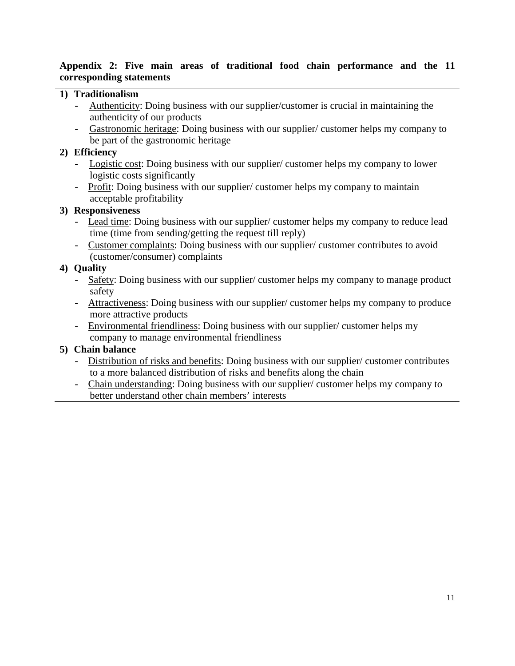### **Appendix 2: Five main areas of traditional food chain performance and the 11 corresponding statements**

## **1) Traditionalism**

- Authenticity: Doing business with our supplier/customer is crucial in maintaining the authenticity of our products
- Gastronomic heritage: Doing business with our supplier/ customer helps my company to be part of the gastronomic heritage

## **2) Efficiency**

- Logistic cost: Doing business with our supplier/ customer helps my company to lower logistic costs significantly
- Profit: Doing business with our supplier/ customer helps my company to maintain acceptable profitability

## **3) Responsiveness**

- Lead time: Doing business with our supplier/customer helps my company to reduce lead time (time from sending/getting the request till reply)
- Customer complaints: Doing business with our supplier/ customer contributes to avoid (customer/consumer) complaints

# **4) Quality**

- Safety: Doing business with our supplier/ customer helps my company to manage product safety
- Attractiveness: Doing business with our supplier/ customer helps my company to produce more attractive products
- Environmental friendliness: Doing business with our supplier/ customer helps my company to manage environmental friendliness

# **5) Chain balance**

- Distribution of risks and benefits: Doing business with our supplier/ customer contributes to a more balanced distribution of risks and benefits along the chain
- Chain understanding: Doing business with our supplier/ customer helps my company to better understand other chain members' interests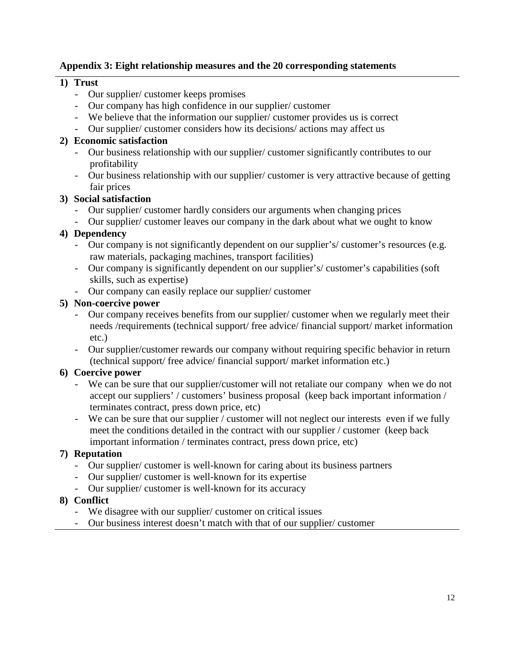## **Appendix 3: Eight relationship measures and the 20 corresponding statements**

## **1) Trust**

- Our supplier/ customer keeps promises
- Our company has high confidence in our supplier/ customer
- We believe that the information our supplier/ customer provides us is correct
- Our supplier/ customer considers how its decisions/ actions may affect us

# **2) Economic satisfaction**

- Our business relationship with our supplier/ customer significantly contributes to our profitability
- Our business relationship with our supplier/ customer is very attractive because of getting fair prices

# **3) Social satisfaction**

- Our supplier/ customer hardly considers our arguments when changing prices
- Our supplier/ customer leaves our company in the dark about what we ought to know

# **4) Dependency**

- Our company is not significantly dependent on our supplier's/ customer's resources (e.g. raw materials, packaging machines, transport facilities)
- Our company is significantly dependent on our supplier's/ customer's capabilities (soft skills, such as expertise)
- Our company can easily replace our supplier/ customer

## **5) Non-coercive power**

- Our company receives benefits from our supplier/ customer when we regularly meet their needs /requirements (technical support/ free advice/ financial support/ market information etc.)
- Our supplier/customer rewards our company without requiring specific behavior in return (technical support/ free advice/ financial support/ market information etc.)

# **6) Coercive power**

- We can be sure that our supplier/customer will not retaliate our company when we do not accept our suppliers' / customers' business proposal (keep back important information / terminates contract, press down price, etc)
- We can be sure that our supplier / customer will not neglect our interests even if we fully meet the conditions detailed in the contract with our supplier / customer (keep back important information / terminates contract, press down price, etc)

# **7) Reputation**

- Our supplier/ customer is well-known for caring about its business partners
- Our supplier/ customer is well-known for its expertise
- Our supplier/ customer is well-known for its accuracy

# **8) Conflict**

- We disagree with our supplier/ customer on critical issues
- Our business interest doesn't match with that of our supplier/ customer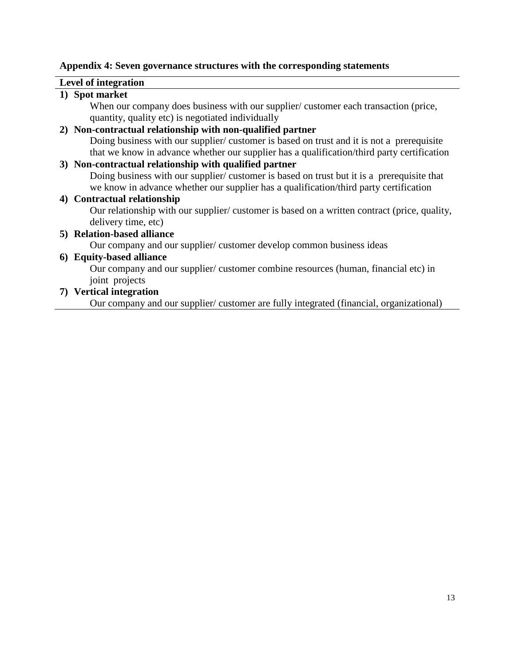#### **Appendix 4: Seven governance structures with the corresponding statements**

#### **Level of integration**

### **1) Spot market**

When our company does business with our supplier/ customer each transaction (price, quantity, quality etc) is negotiated individually

#### **2) Non-contractual relationship with non-qualified partner**

Doing business with our supplier/ customer is based on trust and it is not a prerequisite that we know in advance whether our supplier has a qualification/third party certification

#### **3) Non-contractual relationship with qualified partner**

Doing business with our supplier/ customer is based on trust but it is a prerequisite that we know in advance whether our supplier has a qualification/third party certification

#### **4) Contractual relationship**

Our relationship with our supplier/ customer is based on a written contract (price, quality, delivery time, etc)

### **5) Relation-based alliance**

Our company and our supplier/ customer develop common business ideas

### **6) Equity-based alliance**

Our company and our supplier/ customer combine resources (human, financial etc) in joint projects

#### **7) Vertical integration**

Our company and our supplier/ customer are fully integrated (financial, organizational)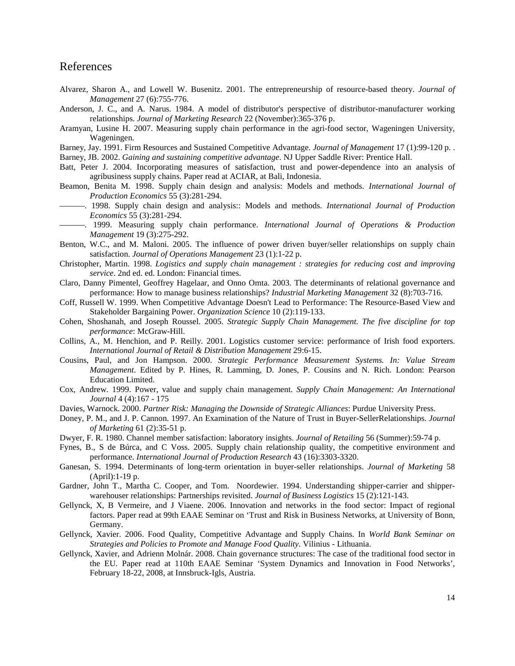#### References

- Alvarez, Sharon A., and Lowell W. Busenitz. 2001. The entrepreneurship of resource-based theory. *Journal of Management* 27 (6):755-776.
- Anderson, J. C., and A. Narus. 1984. A model of distributor's perspective of distributor-manufacturer working relationships. *Journal of Marketing Research* 22 (November):365-376 p.
- Aramyan, Lusine H. 2007. Measuring supply chain performance in the agri-food sector, Wageningen University, Wageningen.

Barney, Jay. 1991. Firm Resources and Sustained Competitive Advantage. *Journal of Management* 17 (1):99-120 p. .

Barney, JB. 2002. *Gaining and sustaining competitive advantage*. NJ Upper Saddle River: Prentice Hall.

- Batt, Peter J. 2004. Incorporating measures of satisfaction, trust and power-dependence into an analysis of agribusiness supply chains. Paper read at ACIAR, at Bali, Indonesia.
- Beamon, Benita M. 1998. Supply chain design and analysis: Models and methods. *International Journal of Production Economics* 55 (3):281-294.
- ———. 1998. Supply chain design and analysis:: Models and methods. *International Journal of Production Economics* 55 (3):281-294.
- ———. 1999. Measuring supply chain performance. *International Journal of Operations & Production Management* 19 (3):275-292.
- Benton, W.C., and M. Maloni. 2005. The influence of power driven buyer/seller relationships on supply chain satisfaction. *Journal of Operations Management* 23 (1):1-22 p.
- Christopher, Martin. 1998. *Logistics and supply chain management : strategies for reducing cost and improving service*. 2nd ed. ed. London: Financial times.
- Claro, Danny Pimentel, Geoffrey Hagelaar, and Onno Omta. 2003. The determinants of relational governance and performance: How to manage business relationships? *Industrial Marketing Management* 32 (8):703-716.
- Coff, Russell W. 1999. When Competitive Advantage Doesn't Lead to Performance: The Resource-Based View and Stakeholder Bargaining Power. *Organization Science* 10 (2):119-133.
- Cohen, Shoshanah, and Joseph Roussel. 2005. *Strategic Supply Chain Management. The five discipline for top performance*: McGraw-Hill.
- Collins, A., M. Henchion, and P. Reilly. 2001. Logistics customer service: performance of Irish food exporters. *International Journal of Retail & Distribution Management* 29:6-15.
- Cousins, Paul, and Jon Hampson. 2000. *Strategic Performance Measurement Systems. In: Value Stream Management*. Edited by P. Hines, R. Lamming, D. Jones, P. Cousins and N. Rich. London: Pearson Education Limited.
- Cox, Andrew. 1999. Power, value and supply chain management. *Supply Chain Management: An International Journal* 4 (4):167 - 175
- Davies, Warnock. 2000. *Partner Risk: Managing the Downside of Strategic Alliances*: Purdue University Press.
- Doney, P. M., and J. P. Cannon. 1997. An Examination of the Nature of Trust in Buyer-SellerRelationships. *Journal of Marketing* 61 (2):35-51 p.
- Dwyer, F. R. 1980. Channel member satisfaction: laboratory insights. *Journal of Retailing* 56 (Summer):59-74 p.
- Fynes, B., S de Búrca, and C Voss. 2005. Supply chain relationship quality, the competitive environment and performance. *International Journal of Production Research* 43 (16):3303-3320.
- Ganesan, S. 1994. Determinants of long-term orientation in buyer-seller relationships. *Journal of Marketing* 58 (April):1-19 p.
- Gardner, John T., Martha C. Cooper, and Tom. Noordewier. 1994. Understanding shipper-carrier and shipperwarehouser relationships: Partnerships revisited. *Journal of Business Logistics* 15 (2):121-143.
- Gellynck, X, B Vermeire, and J Viaene. 2006. Innovation and networks in the food sector: Impact of regional factors. Paper read at 99th EAAE Seminar on 'Trust and Risk in Business Networks, at University of Bonn, Germany.
- Gellynck, Xavier. 2006. Food Quality, Competitive Advantage and Supply Chains. In *World Bank Seminar on Strategies and Policies to Promote and Manage Food Quality*. Vilinius - Lithuania.
- Gellynck, Xavier, and Adrienn Molnár. 2008. Chain governance structures: The case of the traditional food sector in the EU. Paper read at 110th EAAE Seminar 'System Dynamics and Innovation in Food Networks', February 18-22, 2008, at Innsbruck-Igls, Austria.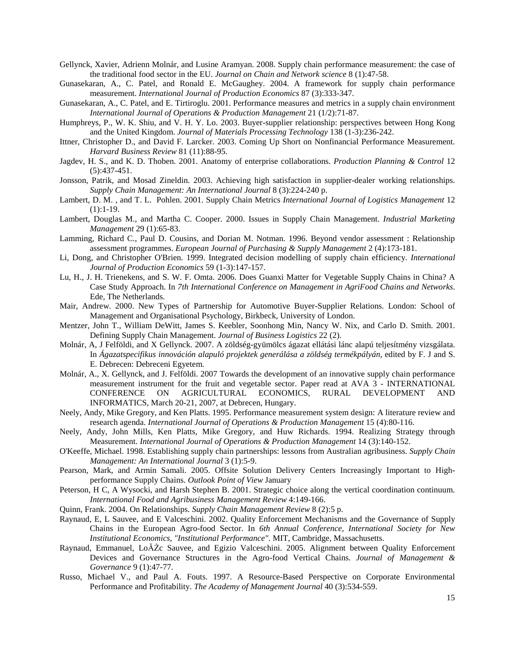- Gellynck, Xavier, Adrienn Molnár, and Lusine Aramyan. 2008. Supply chain performance measurement: the case of the traditional food sector in the EU. *Journal on Chain and Network science* 8 (1):47-58.
- Gunasekaran, A., C. Patel, and Ronald E. McGaughey. 2004. A framework for supply chain performance measurement. *International Journal of Production Economics* 87 (3):333-347.
- Gunasekaran, A., C. Patel, and E. Tirtiroglu. 2001. Performance measures and metrics in a supply chain environment *International Journal of Operations & Production Management* 21 (1/2):71-87.
- Humphreys, P., W. K. Shiu, and V. H. Y. Lo. 2003. Buyer-supplier relationship: perspectives between Hong Kong and the United Kingdom. *Journal of Materials Processing Technology* 138 (1-3):236-242.
- Ittner, Christopher D., and David F. Larcker. 2003. Coming Up Short on Nonfinancial Performance Measurement. *Harvard Business Review* 81 (11):88-95.
- Jagdev, H. S., and K. D. Thoben. 2001. Anatomy of enterprise collaborations. *Production Planning & Control* 12 (5):437-451.
- Jonsson, Patrik, and Mosad Zineldin. 2003. Achieving high satisfaction in supplier-dealer working relationships. *Supply Chain Management: An International Journal* 8 (3):224-240 p.
- Lambert, D. M. , and T. L. Pohlen. 2001. Supply Chain Metrics *International Journal of Logistics Management* 12  $(1):1-19.$
- Lambert, Douglas M., and Martha C. Cooper. 2000. Issues in Supply Chain Management. *Industrial Marketing Management* 29 (1):65-83.
- Lamming, Richard C., Paul D. Cousins, and Dorian M. Notman. 1996. Beyond vendor assessment : Relationship assessment programmes. *European Journal of Purchasing & Supply Management* 2 (4):173-181.
- Li, Dong, and Christopher O'Brien. 1999. Integrated decision modelling of supply chain efficiency. *International Journal of Production Economics* 59 (1-3):147-157.
- Lu, H., J. H. Trienekens, and S. W. F. Omta. 2006. Does Guanxi Matter for Vegetable Supply Chains in China? A Case Study Approach. In *7th International Conference on Management in AgriFood Chains and Networks*. Ede, The Netherlands.
- Mair, Andrew. 2000. New Types of Partnership for Automotive Buyer-Supplier Relations. London: School of Management and Organisational Psychology, Birkbeck, University of London.
- Mentzer, John T., William DeWitt, James S. Keebler, Soonhong Min, Nancy W. Nix, and Carlo D. Smith. 2001. Defining Supply Chain Management. *Journal of Business Logistics* 22 (2).
- Molnár, A, J Felföldi, and X Gellynck. 2007. A zöldség-gyümölcs ágazat ellátási lánc alapú teljesítmény vizsgálata. In *Ágazatspecifikus innováción alapuló projektek generálása a zöldség termékpályán*, edited by F. J and S. E. Debrecen: Debreceni Egyetem.
- Molnár, A., X. Gellynck, and J. Felföldi. 2007 Towards the development of an innovative supply chain performance measurement instrument for the fruit and vegetable sector. Paper read at AVA 3 - INTERNATIONAL CONFERENCE ON AGRICULTURAL ECONOMICS, RURAL DEVELOPMENT AND CONFERENCE ON AGRICULTURAL ECONOMICS, RURAL DEVELOPMENT AND INFORMATICS, March 20-21, 2007, at Debrecen, Hungary.
- Neely, Andy, Mike Gregory, and Ken Platts. 1995. Performance measurement system design: A literature review and research agenda. *International Journal of Operations & Production Management* 15 (4):80-116.
- Neely, Andy, John Mills, Ken Platts, Mike Gregory, and Huw Richards. 1994. Realizing Strategy through Measurement. *International Journal of Operations & Production Management* 14 (3):140-152.
- O'Keeffe, Michael. 1998. Establishing supply chain partnerships: lessons from Australian agribusiness. *Supply Chain Management: An International Journal* 3 (1):5-9.
- Pearson, Mark, and Armin Samali. 2005. Offsite Solution Delivery Centers Increasingly Important to Highperformance Supply Chains. *Outlook Point of View* January
- Peterson, H C, A Wysocki, and Harsh Stephen B. 2001. Strategic choice along the vertical coordination continuum. *International Food and Agribusiness Management Review* 4:149-166.
- Quinn, Frank. 2004. On Relationships. *Supply Chain Management Review* 8 (2):5 p.
- Raynaud, E, L Sauvee, and E Valceschini. 2002. Quality Enforcement Mechanisms and the Governance of Supply Chains in the European Agro-food Sector. In *6th Annual Conference, International Society for New Institutional Economics, "Institutional Performance"*. MIT, Cambridge, Massachusetts.
- Raynaud, Emmanuel, LoĂŻc Sauvee, and Egizio Valceschini. 2005. Alignment between Quality Enforcement Devices and Governance Structures in the Agro-food Vertical Chains. *Journal of Management & Governance* 9 (1):47-77.
- Russo, Michael V., and Paul A. Fouts. 1997. A Resource-Based Perspective on Corporate Environmental Performance and Profitability. *The Academy of Management Journal* 40 (3):534-559.